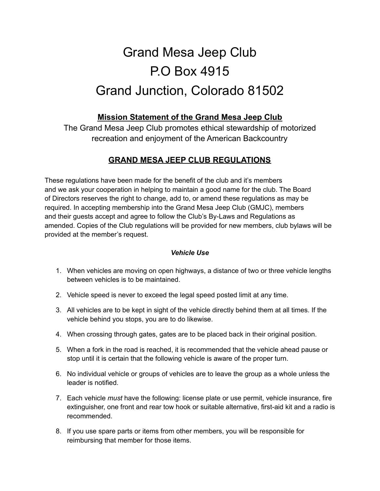# Grand Mesa Jeep Club P.O Box 4915 Grand Junction, Colorado 81502

## **Mission Statement of the Grand Mesa Jeep Club**

The Grand Mesa Jeep Club promotes ethical stewardship of motorized recreation and enjoyment of the American Backcountry

## **GRAND MESA JEEP CLUB REGULATIONS**

These regulations have been made for the benefit of the club and it's members and we ask your cooperation in helping to maintain a good name for the club. The Board of Directors reserves the right to change, add to, or amend these regulations as may be required. In accepting membership into the Grand Mesa Jeep Club (GMJC), members and their guests accept and agree to follow the Club's By-Laws and Regulations as amended. Copies of the Club regulations will be provided for new members, club bylaws will be provided at the member's request.

#### *Vehicle Use*

- 1. When vehicles are moving on open highways, a distance of two or three vehicle lengths between vehicles is to be maintained.
- 2. Vehicle speed is never to exceed the legal speed posted limit at any time.
- 3. All vehicles are to be kept in sight of the vehicle directly behind them at all times. If the vehicle behind you stops, you are to do likewise.
- 4. When crossing through gates, gates are to be placed back in their original position.
- 5. When a fork in the road is reached, it is recommended that the vehicle ahead pause or stop until it is certain that the following vehicle is aware of the proper turn.
- 6. No individual vehicle or groups of vehicles are to leave the group as a whole unless the leader is notified.
- 7. Each vehicle *must* have the following: license plate or use permit, vehicle insurance, fire extinguisher, one front and rear tow hook or suitable alternative, first-aid kit and a radio is recommended.
- 8. If you use spare parts or items from other members, you will be responsible for reimbursing that member for those items.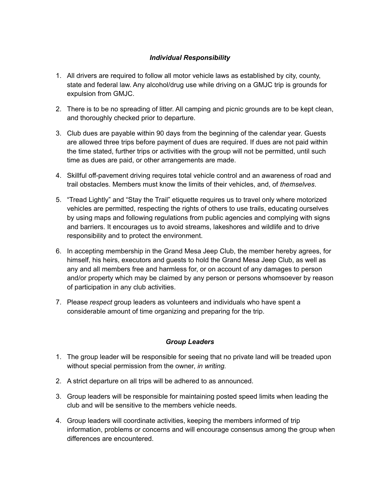### *Individual Responsibility*

- 1. All drivers are required to follow all motor vehicle laws as established by city, county, state and federal law. Any alcohol/drug use while driving on a GMJC trip is grounds for expulsion from GMJC.
- 2. There is to be no spreading of litter. All camping and picnic grounds are to be kept clean, and thoroughly checked prior to departure.
- 3. Club dues are payable within 90 days from the beginning of the calendar year. Guests are allowed three trips before payment of dues are required. If dues are not paid within the time stated, further trips or activities with the group will not be permitted, until such time as dues are paid, or other arrangements are made.
- 4. Skillful off-pavement driving requires total vehicle control and an awareness of road and trail obstacles. Members must know the limits of their vehicles, and, of *themselves*.
- 5. "Tread Lightly" and "Stay the Trail" etiquette requires us to travel only where motorized vehicles are permitted, respecting the rights of others to use trails, educating ourselves by using maps and following regulations from public agencies and complying with signs and barriers. It encourages us to avoid streams, lakeshores and wildlife and to drive responsibility and to protect the environment.
- 6. In accepting membership in the Grand Mesa Jeep Club, the member hereby agrees, for himself, his heirs, executors and guests to hold the Grand Mesa Jeep Club, as well as any and all members free and harmless for, or on account of any damages to person and/or property which may be claimed by any person or persons whomsoever by reason of participation in any club activities.
- 7. Please *respect* group leaders as volunteers and individuals who have spent a considerable amount of time organizing and preparing for the trip.

#### *Group Leaders*

- 1. The group leader will be responsible for seeing that no private land will be treaded upon without special permission from the owner, *in writing.*
- 2. A strict departure on all trips will be adhered to as announced.
- 3. Group leaders will be responsible for maintaining posted speed limits when leading the club and will be sensitive to the members vehicle needs.
- 4. Group leaders will coordinate activities, keeping the members informed of trip information, problems or concerns and will encourage consensus among the group when differences are encountered.